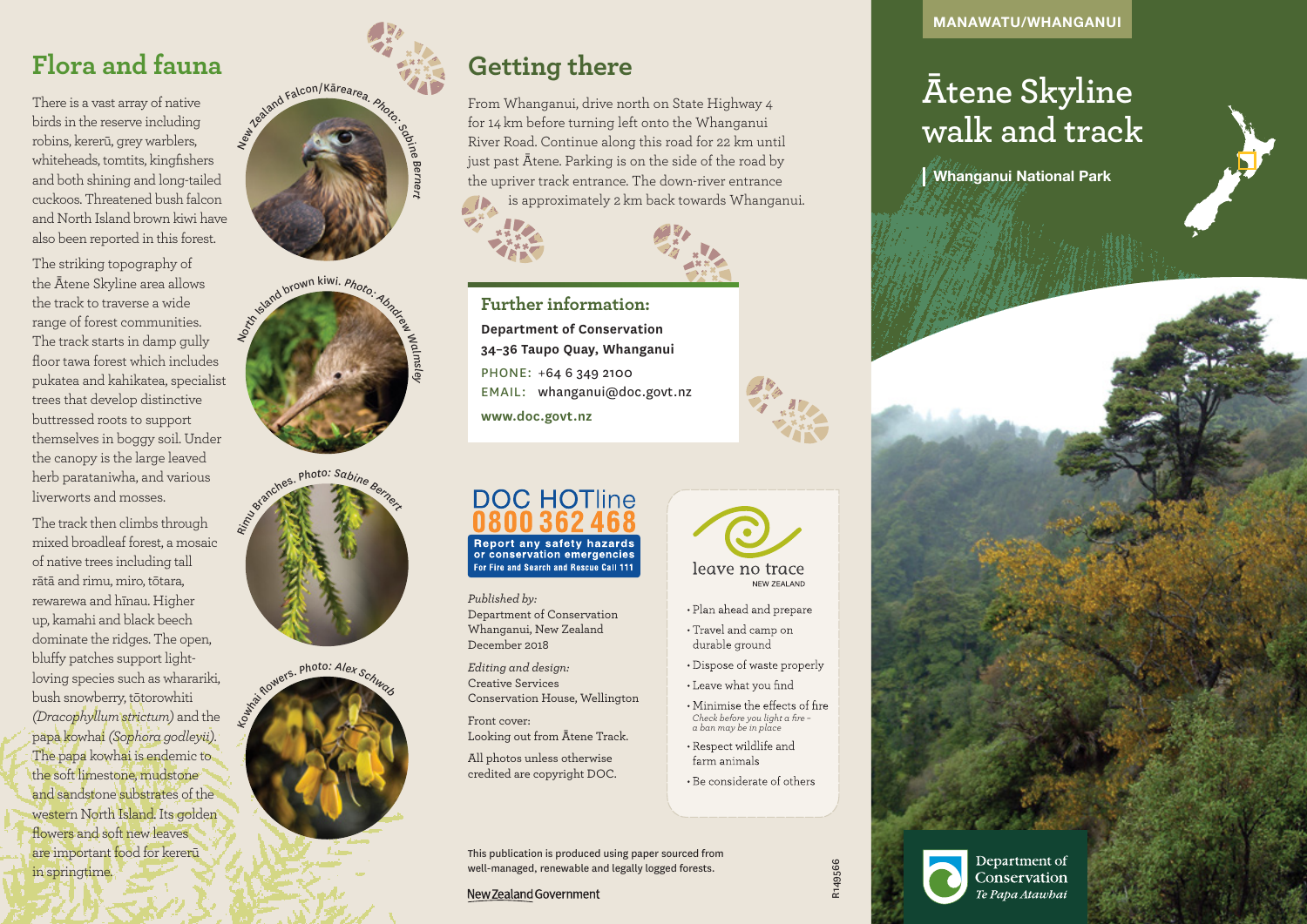# **Ātene Skyline walk and track**

Whanganui National Park

## **Flora and fauna**

There is a vast array of native birds in the reserve including robins, kererū, grey warblers, whiteheads, tomtits, kingfishers and both shining and long-tailed cuckoos. Threatened bush falcon and North Island brown kiwi have also been reported in this forest.

The striking topography of the Ātene Skyline area allows the track to traverse a wide range of forest communities. The track starts in damp gully floor tawa forest which includes pukatea and kahikatea, specialist trees that develop distinctive buttressed roots to support themselves in boggy soil. Under the canopy is the large leaved herb parataniwha, and various liverworts and mosses.

The track then climbs through mixed broadleaf forest, a mosaic of native trees including tall rātā and rimu, miro, tōtara, rewarewa and hīnau. Higher up, kamahi and black beech dominate the ridges. The open, bluffy patches support lightloving species such as wharariki, bush snowberry, tōtorowhiti *(Dracophyllum strictum)* and the papa kowhai *(Sophora godleyii)*. The papa kowhai is endemic to the soft limestone, mudstone and sandstone substrates of the western North Island. Its golden flowers and soft new leaves are important food for kererū in springtime.











From Whanganui, drive north on State Highway 4 for 14 km before turning left onto the Whanganui River Road. Continue along this road for 22 km until just past Ātene. Parking is on the side of the road by the upriver track entrance. The down-river entrance is approximately 2 km back towards Whanganui.



**Further information: Department of Conservation 34–36 Taupo Quay, Whanganui** PHONE: +64 6 349 2100 EMAIL: whanganui@doc.govt.nz **www.doc.govt.nz**

## **DOC HOTline** Report any safety hazards<br>or conservation emergencies

For Fire and Search and Rescue Call 111

*Published by:* Department of Conservation Whanganui, New Zealand December 2018

*Editing and design:*  Creative Services Conservation House, Wellington

Front cover: Looking out from Ātene Track.

All photos unless otherwise credited are copyright DOC.





leave no trace NEW ZEALAND

- Plan ahead and prepare
- Travel and camp on durable ground
- Dispose of waste properly
- Leave what you find
- Minimise the effects of fire *Check before you light a fire – a ban may be in place*
- Respect wildlife and farm animals
- Be considerate of others

R149566